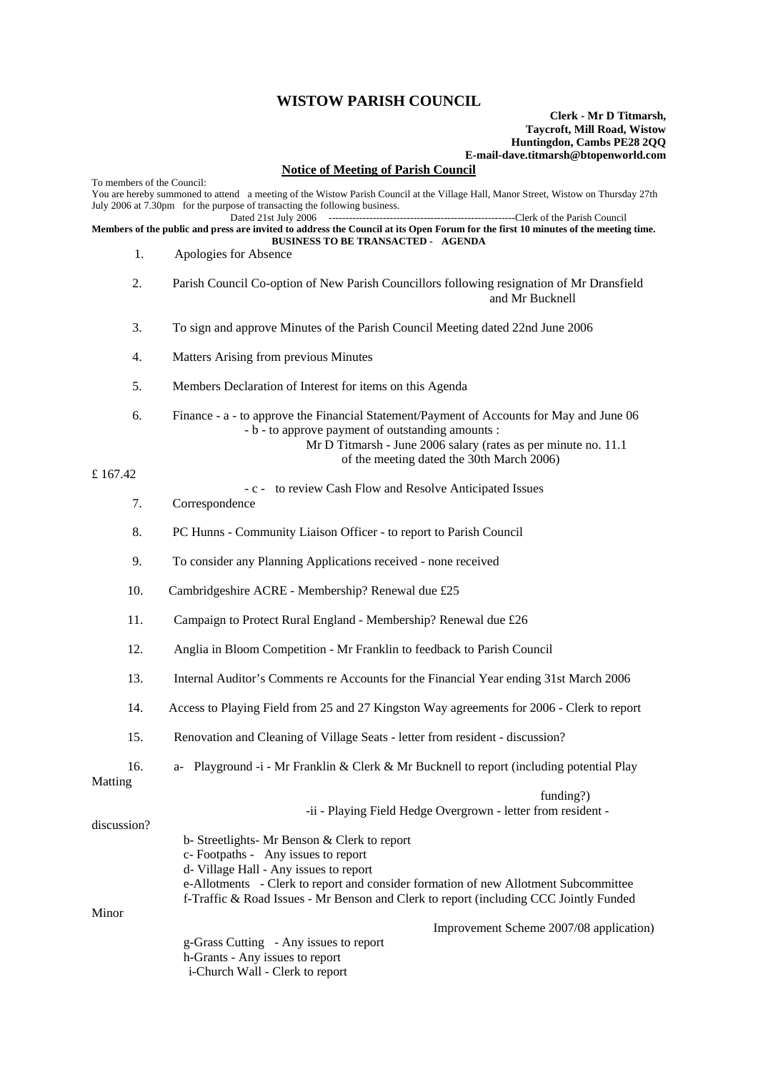## **WISTOW PARISH COUNCIL**

## **Clerk - Mr D Titmarsh, Taycroft, Mill Road, Wistow Huntingdon, Cambs PE28 2QQ E-mail-dave.titmarsh@btopenworld.com**

## **Notice of Meeting of Parish Council**

To members of the Council: You are hereby summoned to attend a meeting of the Wistow Parish Council at the Village Hall, Manor Street, Wistow on Thursday 27th July 2006 at 7.30pm for the purpose of transacting the following business.<br>Dated 21st July 2006 -----Clerk of the Parish Council **Members of the public and press are invited to address the Council at its Open Forum for the first 10 minutes of the meeting time. BUSINESS TO BE TRANSACTED - AGENDA**  1. Apologies for Absence 2. Parish Council Co-option of New Parish Councillors following resignation of Mr Dransfield and Mr Bucknell 3. To sign and approve Minutes of the Parish Council Meeting dated 22nd June 2006 4. Matters Arising from previous Minutes 5. Members Declaration of Interest for items on this Agenda 6. Finance - a - to approve the Financial Statement/Payment of Accounts for May and June 06 - b - to approve payment of outstanding amounts : Mr D Titmarsh - June 2006 salary (rates as per minute no. 11.1 of the meeting dated the 30th March 2006) £ 167.42 - c - to review Cash Flow and Resolve Anticipated Issues 7. Correspondence 8. PC Hunns - Community Liaison Officer - to report to Parish Council 9. To consider any Planning Applications received - none received 10. Cambridgeshire ACRE - Membership? Renewal due £25 11. Campaign to Protect Rural England - Membership? Renewal due £26 12. Anglia in Bloom Competition - Mr Franklin to feedback to Parish Council 13. Internal Auditor's Comments re Accounts for the Financial Year ending 31st March 2006 14. Access to Playing Field from 25 and 27 Kingston Way agreements for 2006 - Clerk to report 15. Renovation and Cleaning of Village Seats - letter from resident - discussion? 16. a- Playground -i - Mr Franklin & Clerk & Mr Bucknell to report (including potential Play Matting funding?) -ii - Playing Field Hedge Overgrown - letter from resident discussion? b- Streetlights- Mr Benson & Clerk to report c- Footpaths - Any issues to report d- Village Hall - Any issues to report e-Allotments - Clerk to report and consider formation of new Allotment Subcommittee f-Traffic & Road Issues - Mr Benson and Clerk to report (including CCC Jointly Funded Minor Improvement Scheme 2007/08 application) g-Grass Cutting - Any issues to report h-Grants - Any issues to report i-Church Wall - Clerk to report